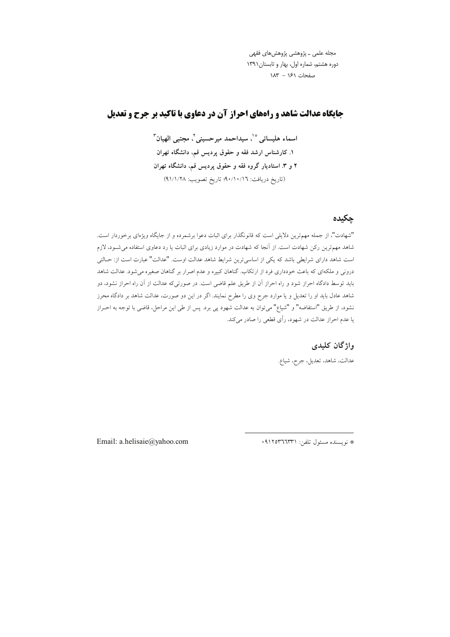مجله علمی ــ پژوهشی پژوهشهای فقهی دوره هشتم، شماره اول، بهار و تابستان ١٣٩١ صفحات ۱۶۱ - ۱۸۳

# **حایگاه عدالت شاهد و راههای احراز آن در دعاوی با تاکید بر جرح و تعدیل**

اسماء هليسائي \*`، سيداحمد ميرحسيني `، مجتبي الهيان `` ۱. کارشناس ارشد فقه و حقوق پردیس قم، دانشگاه تهران ۲ و ۳. استادیار گروه فقه و حقوق پردیس قم، دانشگاه تهران (تاريخ دريافت: ٩٠/١٠/١٦)؛ تاريخ تصويب: ٩١/١/٢٨)

# چکیده

"شهادت"، از جمله مهمترین دلایلی است که قانونگذار برای اثبات دعوا برشمرده و از جایگاه ویژهای برخوردار است. شاهد مهمترین رکن شهادت است. از آنجا که شهادت در موارد زیادی برای اثبات یا رد دعاوی استفاده می شــود، لازم است شاهد دارای شرایطی باشد که یکی از اساسیترین شرایط شاهد عدالت اوست. "عدالت" عبارت است از: حـالتی درونی و ملکهای که باعث خودداری فرد از ارتکاب. گناهان کبیره و عدم اصرار بر گناهان صغیره می شود. عدالت شاهد باید توسط دادگاه احراز شود و راه احراز آن از طریق علم قاضی است. در صورتیکه عدالت از آن راه احراز نشود، دو شاهد عادل باید او را تعدیل و یا موارد جرح وی را مطرح نمایند. اگر در این دو صورت، عدالت شاهد بر دادگاه محرز .<br>نشود، از طریق "استفاضه" و "شیاع" میïوان به عدالت شهود پی برد. پس از طی این مراحل، قاضی با توجه به احـراز یا عدم احراز عدالت در شهود، رأی قطعی را صادر میکند.

واژگان کلیدی

عدالت، شاهد، تعديل، جرح، شياع.

Email: a.helisaie@yahoo.com

\* نويسنده مسئول تلفن: ٩١٢٥٣٦٦٣٣١.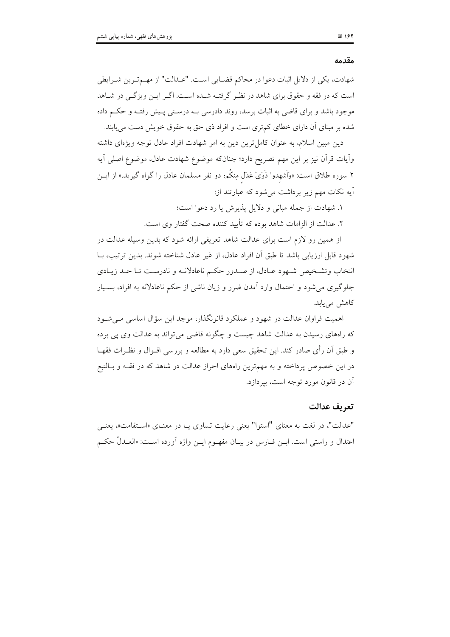#### مقدمه

شهادت، یکی از دلایل اثبات دعوا در محاکم قضـایی اسـت. "عـدالت" از مهـمتـرین شـرایطی است که در فقه و حقوق برای شاهد در نظر گرفتـه شـده اسـت. اگـر ايـن ويژگـی در شـاهد موجود باشد و برای قاضی به اثبات برسد، روند دادرسی بـه درسـتی پـیش رفتـه و حکــم داده شده بر مبنای آن دارای خطای کم تری است و افراد ذی حق به حقوق خویش دست می یابند.

دین مبین اسلام، به عنوان کامل ترین دین به امر شهادت افراد عادل توجه ویژهای داشته وأيات قرأن نيز بر اين مهم تصريح دارد؛ چنانکه موضوع شهادت عادل، موضوع اصلي اَيه ۲ سوره طلاق است: «وَاَشهدوا ذَوَىْ عَدْل مِنكُم؛ دو نفر مسلمان عادل را گواه گیرید.» از ایــن اًیه نکات مهم زیر برداشت می شود که عبارتند از:

١. شهادت از جمله مبانی و دلایل پذیرش یا رد دعوا است؛

۲. عدالت از الزامات شاهد بوده که تأیید کننده صحت گفتار وی است.

از همین رو لازم است برای عدالت شاهد تعریفی ارائه شود که بدین وسیله عدالت در شهود قابل ارزيابي باشد تا طبق آن افراد عادل، از غير عادل شناخته شوند. بدين ترتيب، بــا انتخاب وتشـخیص شـهود عـادل، از صـدور حکـم ناعادلانـه و نادرسـت تـا حـد زيـادي جلوگیری می شود و احتمال وارد آمدن ضرر و زیان ناشی از حکم ناعادلانه به افراد، بسـیار كاهش مى يابد.

اهمیت فراوان عدالت در شهود و عملکرد قانونگذار، موجد این سؤال اساسی می شـود که راههای رسیدن به عدالت شاهد چیست و چگونه قاضی می تواند به عدالت وی یی برده و طبق أن رأى صادر كند. اين تحقيق سعى دارد به مطالعه و بررسي اقــوال و نظــرات فقهــا در این خصوص پرداخته و به مهمترین راههای احراز عدالت در شاهد که در فقـه و بـالتبع آن در قانون مورد توجه است، بیردازد.

#### تعريف عدالت

"عدالت"، در لغت به معناي "استوا" يعني رعايت تساوى يـا در معنـاي «اسـتقامت»، يعنـي اعتدال و راستی است. ابــن فــارس در بیــان مفهــوم ایــن واژه آورده اســـت: «العــدلُ حکــم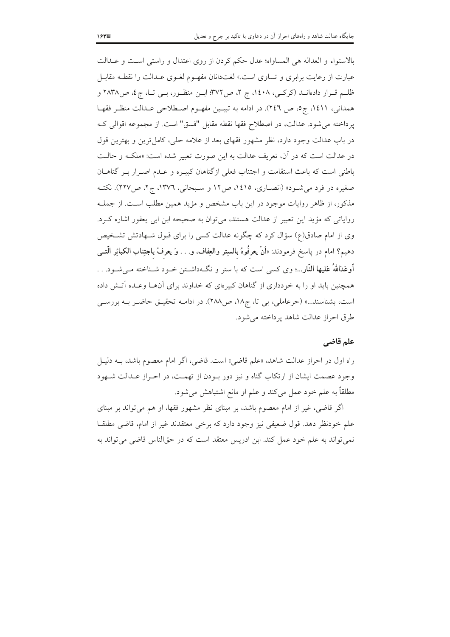بالاستواء و العداله هي المساواه؛ عدل حكم كردن از روى اعتدال و راستي است و عــدالت عبارت از رعایت برابری و تساوی است.» لغتدانان مفهـوم لغـوی عـدالت را نقطـه مقابـل ظلــم قــرار دادهانــد (كركــي، ١٤٠٨، ج ٢، ص٣٧٢؛ ابــن منظــور، بــي تــا، ج٤، ص٢٨٣٨ و همداني، ١٤١١، ج٥، ص ٢٤٦). در ادامه به تبيـين مفهـوم اصـطلاحي عـدالت منظـر فقهـا يرداخته مي شود. عدالت، در اصطلاح فقها نقطه مقابل "فسق" است. از مجموعه اقوالي كـه در باب عدالت وجود دارد، نظر مشهور فقهای بعد از علامه حلی، کامل ترین و بهترین قول در عدالت است كه در آن، تعريف عدالت به اين صورت تعبير شده است: «ملكـه و حالـت باطنی است که باعث استقامت و اجتناب فعلی ازگناهان کبیـره و عـدم اصـرار بـر گناهـان صغیره در فرد می شـود» (انصـاری، ۱٤۱٥، ص١٢ و سـبحانی، ١٣٧٦، ج٢، ص٢٢٧). نکتـه مذکور، از ظاهر روایات موجود در این باب مشخص و مؤید همین مطلب است. از جملـه روایاتی که مؤید این تعبیر از عدالت هستند، می توان به صحیحه ابن ابی یعفور اشاره کـرد. وی از امام صادق(ع) سؤال کرد که چگونه عدالت کسی را برای قبول شـهادتش تشـخیص دهيم؟ امام در پاسخ فرمودند: «اَنْ يعرفُوهُ بالسبِتر والعِفاف، و. . . وَ يعرفُ باجتِناب الكبائِر الَّتــي أوعَدَاللهُ عَليها النَّارِ...؛ وي كسى است كه با ستر و نگەداشـتن خـود شـناخته مـى شـود. . . همچنین باید او را به خودداری از گناهان کبیروای که خداوند برای آنهـا وعـده آتـش داده است، بشناسند...» (حرعاملی، بی تا، ج۱۸، ص۲۸۸). در ادامـه تحقیـق حاضـر بـه بررسـی طرق احراز عدالت شاهد پر داخته می شود.

#### علم قاضي

راه اول در احراز عدالت شاهد، «علم قاضي» است. قاضي، اگر امام معصوم باشد، بــه دليـل وجود عصمت ایشان از ارتکاب گناه و نیز دور بودن از تهمت، در احـراز عـدالت شـهود مطلقاً به علم خود عمل می کند و علم او مانع اشتباهش می شود.

اگر قاضی، غیر از امام معصوم باشد، بر مبنای نظر مشهور فقها، او هم می تواند بر مبنای علم خودنظر دهد. قول ضعیفی نیز وجود دارد که برخی معتقدند غیر از امام، قاضی مطلقـا نمي تواند به علم خود عمل كند. ابن ادريس معتقد است كه در حقالناس قاضي مي تواند به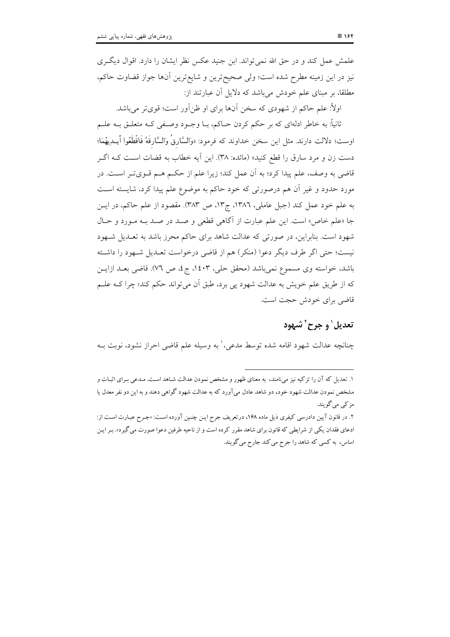علمش عمل كند و در حق الله نمي تواند. ابن جنيد عكس نظر ايشان را دارد. اقوال ديگري نیز در این زمینه مطرح شده است؛ ولی صحیحترین و شایعترین آنها جواز قضاوت حاکم، مطلقاً، بر مبنای علم خودش میباشد که دلایل آن عبارتند از:

اولاً: علم حاکم از شهودی که سخن آنها برای او ظنآور است؛ قویتر می باشد.

ثانياً: به خاطر ادلهاي كه بر حكم كردن حــاكم، بــا وجــود وصــفي كــه متعلــق بــه علــم اوست؛ دلالت دارند. مثل اين سخن خداوند كه فرمود: «وَالسَّارِقُ وَالسَّارِقَهُ فَاقْطَعُوا أيــدِيهُمَا؛ دست زن و مرد سارق را قطع کنید» (مائده: ۳۸). این آیه خطاب به قضات است کـه اگــر قاضی به وصف، علم پیدا کرد؛ به آن عمل کند؛ زیرا علم از حکـم هـم قـویتـر اسـت. در مورد حدود و غیر اَن هم درصورتی که خود حاکم به موضوع علم پیدا کرد، شایسته اسـت به علم خود عمل كند (جبل عاملي، ١٣٨٦، ج١٣، ص ٣٨٣). مقصود از علم حاكم، در ايــن جا «علم خاص» است. این علم عبارت از آگاهی قطعی و صـد در صـد بـه مـورد و حـال شهود است. بنابراین، در صورتی که عدالت شاهد برای حاکم محرز باشد به تعـدیل شـهود نيست؛ حتى اگر طرف ديگر دعوا (منكر) هم از قاضي درخواست تعـديل شـهود را داشـته باشد، خواسته وي مسموع نمي باشد (محقق حلي، ١٤٠٣، ج٤، ص ٧٦). قاضي بعــد ازايــن که از طریق علم خویش به عدالت شهود پی برد، طبق آن میتواند حکم کند؛ چرا کــه علــم قاضی برای خودش حجت است.

# تعديل' و جرح' شهود

چنانچه عدالت شهود اقامه شده توسط مدعی، ٰ به وسیله علم قاضی احراز نشود، نوبت بـه

۱. تعدیل که آن را تزکیه نیز میiامند، به معنای ظهور و مشخص نمودن عدالت شـاهد اسـت. مـدعی بـرای اثبـات و مشخص نمودن عدالت شهود خود، دو شاهد عادل میآورد که به عدالت شهود گواهی دهند و به این دو نفر معدل یا مز کے مے گو پند.

٢. در قانون آيين دادرسي كيفري ذيل ماده ١۶٨، درتعريف جرح ايـن چنـين آورده اسـت: «جـرح عبـارت اسـت از: ادعای فقدان یکی از شرایطی که قانون برای شاهد مقرر کرده است و از ناحیه طرفین دعوا صورت می گیرد». بـر ایـن اساس، به کسی که شاهد را جرح می کند جارح می گویند.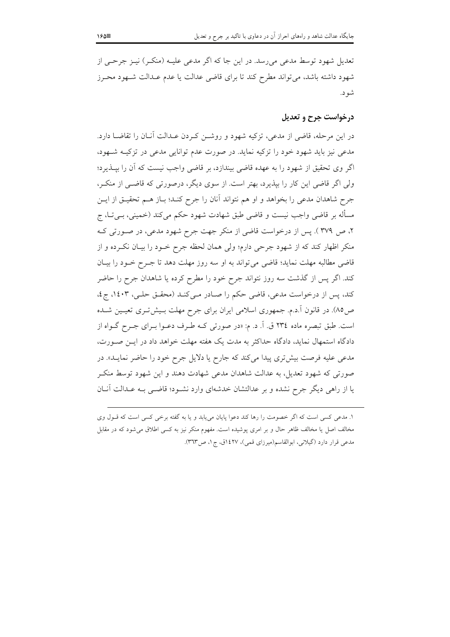تعدیل شهود توسط مدعی می رسد. در این جا که اگر مدعی علیـه (منکـر) نیـز جرحـی از شهود داشته باشد، می تواند مطرح کند تا برای قاضی عدالت یا عدم عـدالت شـهود محـرز شو د.

# درخواست جرح و تعدیل

در این مرحله، قاضی از مدعی، تزکیه شهود و روشــن کــردن عــدالت آنــان را تقاضــا دارد. مدعی نیز باید شهود خود را تزکیه نماید. در صورت عدم توانایی مدعی در تزکیـه شـهود، اگر وی تحقیق از شهود را به عهده قاضی بیندازد، بر قاضی واجب نیست که أن را بپــذیرد؛ ولي اگر قاضي اين كار را بيذيرد، بهتر است. از سوى ديگر، درصورتي كه قاضـي از منكـر، جرح شاهدان مدعی را بخواهد و او هم نتواند آنان را جرح کنـد؛ بـاز هـم تحقیـق از ایـن مسأله بر قاضی واجب نیست و قاضی طبق شهادت شهود حکم می کند (خمینی، بــیتــا، ج ۲، ص ۳۷۹ ). پس از درخواست قاضی از منکر جهت جرح شهود مدعی، در صورتی ک منكر اظهار كند كه از شهود جرحى دارم؛ ولى همان لحظه جرح خـود را بيـان نكـرده و از قاضی مطالبه مهلت نماید؛ قاضی می تواند به او سه روز مهلت دهد تا جـرح خـود را بیـان کند. اگر پس از گذشت سه روز نتواند جرح خود را مطرح کرده یا شاهدان جرح را حاضر كند، يس از درخواست مدعى، قاضى حكم را صادر مى كنـد (محقـق حلـى، ١٤٠٣، ج٤، ص٨٥). در قانون آ.د.م. جمهوري اسلامي ايران براي جرح مهلت بـيشتري تعيـين شـده است. طبق تبصره ماده ٢٣٤ ق. اَ. د. م: «در صورتي كـه طـرف دعـوا بـراي جـرح گــواه از دادگاه استمهال نماید، دادگاه حداکثر به مدت یک هفته مهلت خواهد داد در ایـن صـورت، مدعی علیه فرصت بیشتری پیدا میکند که جارح یا دلایل جرح خود را حاضر نمایـد». در صورتی که شهود تعدیل، به عدالت شاهدان مدعی شهادت دهند و این شهود توسط منک یا از راهی دیگر جرح نشده و بر عدالتشان خدشهای وارد نشـود؛ قاضـی بـه عـدالت آنــان

۱. مدعی کسی است که اگر خصومت را رها کند دعوا پایان می یابد و یا به گفته برخی کسی است که قـول وی مخالف اصل یا مخالف ظاهر حال و بر امری پوشیده است. مفهوم منکر نیز به کسی اطلاق می شود که در مقابل مدعی قرار دارد (گیلانی، ابوالقاسم(میرزای قمی)، ۱٤٢٧ق، ج١، ص٣٦٣).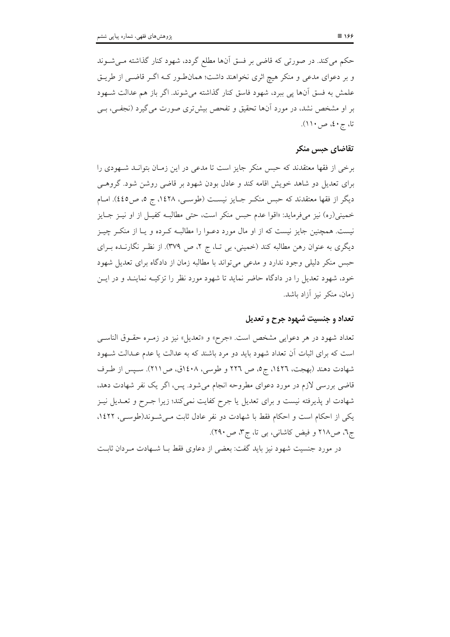حکم می کند. در صورتی که قاضی بر فسق آنها مطلع گردد، شهود کنار گذاشته مـیشـوند و بر دعوای مدعی و منکر هیچ اثری نخواهند داشت؛ همان طور کـه اگـر قاضـی از طریـق علمش به فسق آنها يي ببرد، شهود فاسق كنار گذاشته مي شوند. اگر باز هم عدالت شـهود بر او مشخص نشد، در مورد آنها تحقیق و تفحص بیشتری صورت می گیرد (نجفـی، بــی تا، ج ٤٠، ص ١١١).

### تقاضاي حبس منكر

برخی از فقها معتقدند که حبس منکر جایز است تا مدعی در این زمـان بتوانــد شــهودی را برای تعدیل دو شاهد خویش اقامه کند و عادل بودن شهود بر قاضی روشن شود. گروهبی دیگر از فقها معتقدند که حبس منکـر جـایز نیسـت (طوسـی، ۱٤۲۸، ج ٥، ص٤٤٥). امـام خمینی(ره) نیز میفرماید: «اقوا عدم حبس منکر است، حتی مطالبـه کفیـل از او نیــز جــایز نیست. همچنین جایز نیست که از او مال مورد دعـوا را مطالبـه کـرده و یـا از منکـر چیـز دیگری به عنوان رهن مطالبه کند (خمینی، بی تـا، ج ۲، ص ۳۷۹). از نظـر نگارنــده بــرای حبس منکر دلیلی وجود ندارد و مدعی می تواند با مطالبه زمان از دادگاه برای تعدیل شهود خود، شهود تعدیل را در دادگاه حاضر نماید تا شهود مورد نظر را تزکیـه نماینــد و در ایــن زمان، منكر نيز آزاد باشد.

#### تعداد و جنسيت شهود جرح و تعديل

تعداد شهود در هر دعوایی مشخص است. «جرح» و «تعدیل» نیز در زمـره حقـوق الناسـی است که برای اثبات آن تعداد شهود باید دو مرد باشند که به عدالت یا عدم عـدالت شــهود شهادت دهند (بهجت، ١٤٢٦، ج٥، ص ٢٢٦ و طوسي، ١٤٠٨ق، ص٢١١). سـپس از طـرف قاضی بررسی لازم در مورد دعوای مطروحه انجام می شود. پس، اگر یک نفر شهادت دهد، شهادت او پذیرفته نیست و برای تعدیل یا جرح کفایت نمیکند؛ زیرا جـرح و تعـدیل نیـز یکی از احکام است و احکام فقط با شهادت دو نفر عادل ثابت مـیشـوند(طوسـی، ١٤٢٢. ج٦، ص٢١٨ و فيض كاشاني، بي تا، ج٣، ص٢٩٠).

در مورد جنسیت شهود نیز باید گفت: بعضی از دعاوی فقط بـا شـهادت مـردان ثابـت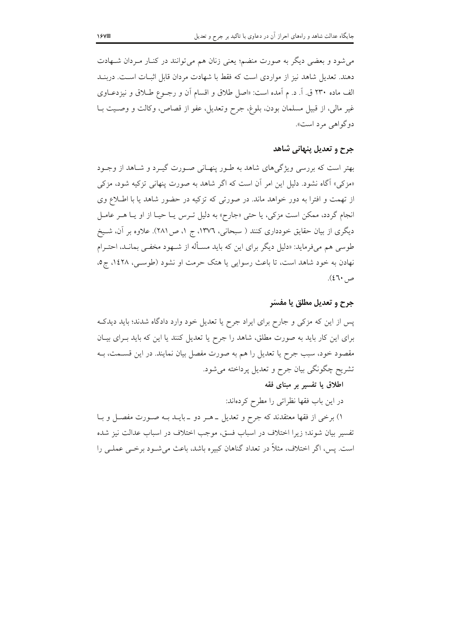می شود و بعضی دیگر به صورت منضم؛ یعنی زنان هم می توانند در کنـار مـردان شـهادت دهند. تعدیل شاهد نیز از مواردی است که فقط با شهادت مردان قابل اثبـات اسـت. دربنــد الف ماده ۲۳۰ ق. آ. د. م أمده است: «اصل طلاق و اقسام أن و رجـوع طــلاق و نيزدعــاوي غير مالي، از قبيل مسلمان بودن، بلوغ، جرح وتعديل، عفو از قصاص، وكالت و وصـيت بـا دوگواهي مرد است».

### جرح و تعدیل پنهانی شاهد

بهتر است که بررسی ویژگیهای شاهد به طـور پنهـانی صـورت گیـرد و شـاهد از وجـود «مزکي» آگاه نشود. دليل اين امر آن است که اگر شاهد به صورت پنهاني تزکيه شود، مزکي از تهمت و افترا به دور خواهد ماند. در صورتی که تزکیه در حضور شاهد یا با اطلاع وی انجام گردد، ممکن است مزکی، یا حتی «جارح» به دلیل تـرس یـا حیـا از او یـا هـر عامـل دیگری از بیان حقایق خودداری کنند ( سبحانی، ١٣٧٦، ج ١، ص ٢٨١). علاوه بر آن، شـیخ طوسی هم میفرماید: «دلیل دیگر برای این که باید مسـأله از شـهود مخفـی بمانـد، احتـرام نهادن به خود شاهد است، تا باعث رسوایی یا هتک حرمت او نشود (طوسـی، ۱٤۲۸، ج٥،  $(27)$ ص

جرح و تعديل مطلق يا مفسّر

پس از این که مزکی و جارح برای ایراد جرح یا تعدیل خود وارد دادگاه شدند؛ باید دیدک برای این کار باید به صورت مطلق، شاهد را جرح یا تعدیل کنند یا این که باید بـرای بیـان مقصود خود، سبب جرح یا تعدیل را هم به صورت مفصل بیان نمایند. در این قسـمت، بـه تشریح چگونگی بیان جرح و تعدیل پرداخته میشود.

اطلاق یا تفسیر بر مبنای فقه

در این باب فقها نظراتی را مطرح کردهاند:

۱) برخی از فقها معتقدند که جرح و تعدیل ــ هــر دو ــ بایــد بــه صــورت مفصــل و بــا تفسیر بیان شوند؛ زیرا اختلاف در اسباب فسق، موجب اختلاف در اسباب عدالت نیز شده است. پس، اگر اختلاف، مثلاً در تعداد گناهان کبیره باشد، باعث می شـود برخـی عملـی را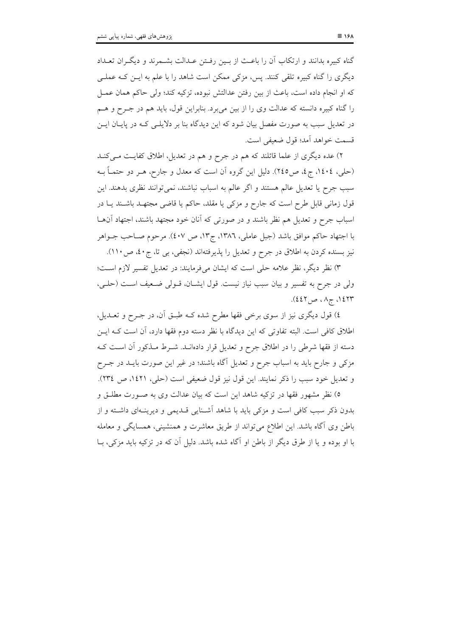گناه کبیره بدانند و ارتکاب آن را باعث از بـین رفـتن عـدالت بشـمرند و دیگـران تعـداد دیگری را گناه کبیره تلقی کنند. پس، مزکی ممکن است شاهد را با علم به ایــن کــه عملــی كه او انجام داده است، باعث از بين رفتن عدالتش نبوده، تزكيه كند؛ ولي حاكم همان عمـل را گناه کبیره دانسته که عدالت وی را از بین میبرد. بنابراین قول، باید هم در جـرح و هــم در تعدیل سبب به صورت مفصل بیان شود که این دیدگاه بنا بر دلایلـی کـه در پایـان ایــن قسمت خواهد آمد؛ قول ضعيفي است.

۲) عده دیگری از علما قائلند که هم در جرح و هم در تعدیل، اطلاق کفایت مـیکنــد (حلبي، ١٤٠٤، ج٤، ص٢٤٥). دليل اين گروه آن است كه معدل و جارح، هـر دو حتمــاً بــه سبب جرح یا تعدیل عالم هستند و اگر عالم به اسباب نباشند، نمی توانند نظری بدهند. این قول زمانی قابل طرح است که جارح و مزکی یا مقلد، حاکم یا قاضی مجتهـد باشـند یــا در اسباب جرح و تعدیل هم نظر باشند و در صورتی که آنان خود مجتهد باشند، اجتهاد آنهـا با اجتهاد حاكم موافق باشد (جبل عاملي، ١٣٨٦، ج١٣، ص ٤٠٧). مرحوم صـاحب جــواهر نيز بسنده كردن به اطلاق در جرح و تعديل را يذيرفتهاند (نجفي، بي تا، ج٤٠، ص١١٠).

٣) نظر ديگر، نظر علامه حلي است كه ايشان ميفرمايند: در تعديل تفسير لازم است؛ ولي در جرح به تفسير و بيان سبب نياز نيست. قول ايشـان، قـولي ضـعيف اسـت (حلـي، ۱٤٢٣، ج۱، ص٤٤٢).

٤) قول دیگری نیز از سوی برخی فقها مطرح شده کـه طبـق آن، در جـرح و تعــدیل، اطلاق كافي است. البته تفاوتي كه اين ديدگاه با نظر دسته دوم فقها دارد، آن است كـه ايــن دسته از فقها شرطی را در اطلاق جرح و تعدیل قرار دادهانــد. شــرط مــذکور آن اســت کــه مزکی و جارح باید به اسباب جرح و تعدیل آگاه باشند؛ در غیر این صورت بایــد در جــرح و تعديل خود سبب را ذكر نمايند. اين قول نيز قول ضعيفي است (حلي، ١٤٢١، ص ٣٣٤).

٥) نظر مشهور فقها در تزکیه شاهد این است که بیان عدالت وی به صـورت مطلـق و بدون ذکر سبب کافی است و مزکی باید با شاهد اَشـنایی قـدیمی و دیرینـهای داشـته و از باطن وی آگاه باشد. این اطلاع می تواند از طریق معاشرت و همنشینی، همسایگی و معامله با او بوده و یا از طرق دیگر از باطن او آگاه شده باشد. دلیل آن که در تزکیه باید مزکی، بــا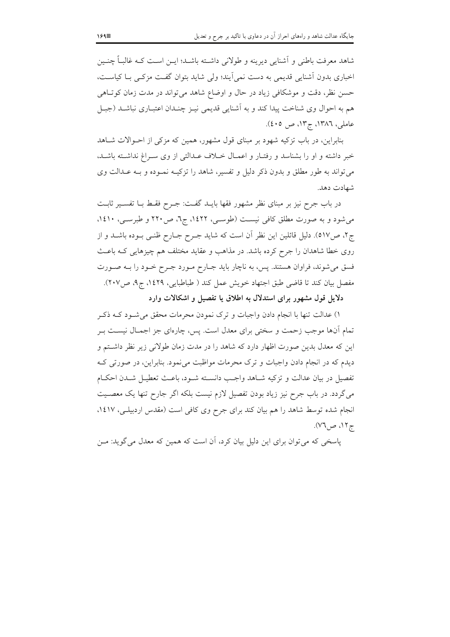شاهد معرفت باطني و اَشنايي ديرينه و طولاني داشــته باشــد؛ ايــن اســت كــه غالبــاً چنــين اخباری بدون آشنایی قدیمی به دست نمی ایند؛ ولی شاید بتوان گفت مزکـی بـا کیاسـت، حسن نظر، دقت و موشكافي زياد در حال و اوضاع شاهد مي تواند در مدت زمان كوتاهي هم به احوال وي شناخت پيدا كند و به آشنايي قديمي نيـز چنـدان اعتبــاري نباشــد (جبــل عاملي، ١٣٨٦، ج١٣، ص ٤٠٥).

بنابراین، در باب تزکیه شهود بر مبنای قول مشهور، همین که مزکی از احـوالات شـاهد خبر داشته و او را بشناسد و رفتـار و اعمـال خـلاف عـدالتي از وي سـراغ نداشـته باشـد، می تواند به طور مطلق و بدون ذکر دلیل و تفسیر، شاهد را تزکیـه نمـوده و بـه عـدالت وی شهادت دهد.

در باب جرح نیز بر مبنای نظر مشهور فقها بایـد گفـت: جـرح فقـط بـا تفسـير ثابـت می شود و به صورت مطلق کافی نیست (طوسعی، ۱۶۲۲، ج٦، ص۲۲۰ و طبرسعی، ۱٤۱۰، ج۲، ص١٧). دليل قائلين اين نظر أن است كه شايد جـرح جــارح ظنــي بــوده باشــد و از روی خطا شاهدان را جرح کرده باشد. در مذاهب و عقاید مختلف هم چیزهایی کـه باعـث فسق میشوند، فراوان هستند. پس، به ناچار باید جـارح مـورد جـرح خـود را بــه صـورت مفصل بيان كند تا قاضي طبق اجتهاد خويش عمل كند ( طباطبايي، ١٤٢٩، ج٩، ص٢٠٧).

دلایل قول مشهور برای استدلال به اطلاق یا تفصیل و اشکالات وارد

۱) عدالت تنها با انجام دادن واجبات و ترک نمودن محرمات محقق میشود کـه ذکـر تمام آنها موجب زحمت و سختی برای معدل است. پس، چارهای جز اجمـال نیســت بــر این که معدل بدین صورت اظهار دارد که شاهد را در مدت زمان طولانی زیر نظر داشتم و دیدم که در انجام دادن واجبات و ترک محرمات مواظبت می نمود. بنابراین، در صورتی کـه تفصيل در بيان عدالت و تزكيه شـاهد واجـب دانســته شــود، باعــث تعطيــل شــدن احكــام می گردد. در باب جرح نیز زیاد بودن تفصیل لازم نیست بلکه اگر جارح تنها یک معصـیت انجام شده توسط شاهد را هم بیان کند برای جرح وی کافی است (مقدس اردبیلی، ۱٤١٧، ج۱۲، ص۷٦).

پاسخی که می توان برای این دلیل بیان کرد، آن است که همین که معدل می گوید: مـن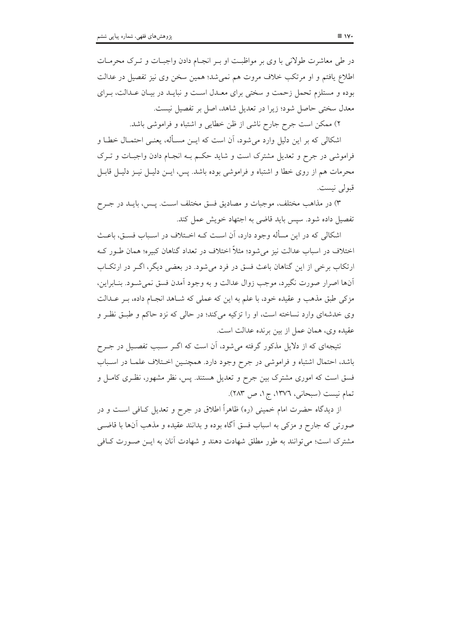در طی معاشرت طولانی با وی بر مواظبت او بـر انجـام دادن واجبـات و تـرک محرمـات اطلاع یافتم و او مرتکب خلاف مروت هم نمیشد؛ همین سخن وی نیز تفصیل در عدالت بوده و مستلزم تحمل زحمت و سختی برای معـدل اسـت و نبایـد در بیـان عـدالت، بـرای معدل سختی حاصل شود؛ زیرا در تعدیل شاهد، اصل بر تفصیل نیست.

۲) ممکن است جرح جارح ناشی از ظن خطایی و اشتباه و فراموشی باشد.

اشکالی که بر این دلیل وارد می شود، آن است که ایــن مســأله، یعنــی احتمـال خطـا و فراموشی در جرح و تعدیل مشترک است و شاید حکم بـه انجـام دادن واجبـات و تـرک محرمات هم از روی خطا و اشتباه و فراموشی بوده باشد. پس، ایــن دلیــل نیــز دلیــل قابــل قبولي نيست.

۳) در مذاهب مختلف، موجبات و مصادیق فسق مختلف است. پـس، بایــد در جــرح تفصيل داده شود. سيس بايد قاضي به اجتهاد خويش عمل كند.

اشکالی که در این مسأله وجود دارد، آن است کــه اخــتلاف در اســباب فســق، باعــث اختلاف در اسباب عدالت نیز می شود؛ مثلاً اختلاف در تعداد گناهان کبیره؛ همان طـور کـه ارتکاب برخی از این گناهان باعث فسق در فرد میشود. در بعضی دیگر، اگـر در ارتکـاب آنها اصرار صورت نگيرد، موجب زوال عدالت و به وجود آمدن فسق نمي شـود. بنــابراين، مزکی طبق مذهب و عقیده خود، با علم به این که عملی که شـاهد انجـام داده، بـر عـدالت وی خدشهای وارد نساخته است، او را تزکیه میکند؛ در حالی که نزد حاکم و طبق نظر و عقيده وي، همان عمل از بين برنده عدالت است.

نتیجهای که از دلایل مذکور گرفته می شود، آن است که اگـر سـبب تفصـیل در جـرح باشد، احتمال اشتباه و فراموشی در جرح وجود دارد. همچنـین اخـتلاف علمـا در اسـباب فسق است که اموری مشترک بین جرح و تعدیل هستند. پس، نظر مشهور، نظـری کامـل و تمام نيست (سبحاني، ١٣٧٦، ج١، ص ٢٨٣).

از دیدگاه حضرت امام خمینی (ره) ظاهراً اطلاق در جرح و تعدیل کــافی اســت و در صورتی که جارح و مزکی به اسباب فسق آگاه بوده و بدانند عقیده و مذهب أن\ا با قاضــی مشترک است؛ می توانند به طور مطلق شهادت دهند و شهادت آنان به ایــن صــورت کــافی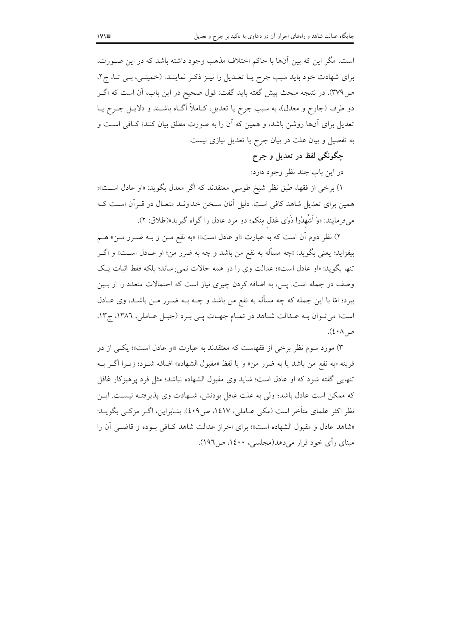است، مگر این که بین آنها با حاکم اختلاف مذهب وجود داشته باشد که در این صـورت، برای شهادت خود باید سبب جرح یـا تعـدیل را نیـز ذکـر نماینـد. (خمینـی، بـی تـا، ج۲، ص٣٧٩). در نتيجه مبحث پيش گفته بايد گفت: قول صحيح در اين باب، آن است كه اگــر دو طرف (جارح و معدل)، به سبب جرح یا تعدیل، کــاملاً اَگــاه باشــند و دلایــل جــرح یــا تعدیل برای آنها روشن باشد، و همین که آن را به صورت مطلق بیان کنند؛ کـافی اســت و به تفصیل و بیان علت در بیان جرح یا تعدیل نیازی نیست.

چگونگي لفظ در تعديل و جرح

در اين باب چند نظر وجود دارد:

۱) برخي از فقها، طبق نظر شيخ طوسي معتقدند كه اگر معدل بگويد: «او عادل است»؛ همین برای تعدیل شاهد کافی است. دلیل آنان سـخن خداونـد متعـال در قــراَن اسـت کــه میفرمایند: «وَ اَشْهِدُوا ذَوَى عَدْل مِنكم؛ دو مرد عادل را گواه گیرید»(طلاق: ۲).

۲) نظر دوم آن است که به عبارت «او عادل است»؛ «به نفع مــن و بــه ضــرر مــن» هــم بيفزايد؛ يعني بگويد: «چه مسأله به نفع من باشد و چه به ضرر من؛ او عــادل اســت» و اگــر تنها بگوید: «او عادل است»؛ عدالت وی را در همه حالات نمی رساند؛ بلکه فقط اثبات یک وصف در جمله است. پس، به اضافه کردن چیزی نیاز است که احتمالات متعدد را از بـین ببرد؛ امّا با این جمله که چه مسأله به نفع من باشد و چــه بــه ضــرر مــن باشــد، وی عــادل است؛ می تبوان بـه عبدالت شباهد در تمبام جهبات یـی بـرد (جبـل عباملی، ١٣٨٦، ج١٣، ص ٤٠٨).

۳) مورد سوم نظر برخی از فقهاست که معتقدند به عبارت «او عادل است»؛ یکسی از دو قرينه «به نفع من باشد يا به ضرر من» و يا لفظ «مقبول الشهاده» اضافه شـود؛ زيـرا اگـر بــه تنهایی گفته شود که او عادل است؛ شاید وی مقبول الشهاده نباشد؛ مثل فرد پرهیزکار غافل که ممکن است عادل باشد؛ ولی به علت غافل بودنش، شـهادت وی پذیرفتـه نیسـت. ایــن نظر اکثر علمای متأخر است (مکی عـاملی، ۱٤۱۷، ص٤٠٩). بنـابراین، اگــر مزکــی بگویــد: «شاهد عادل و مقبول الشهاده است»؛ براي احراز عدالت شاهد كـافي بـوده و قاضـي آن را مینای رأی خود قرار می دهد(مجلسی، ۱٤۰۰، ص۱۹٦).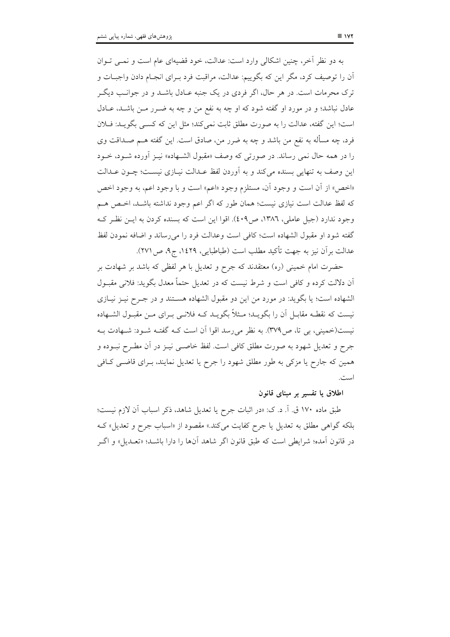به دو نظر آخر، چنین اشکالی وارد است: عدالت، خود قضیهای عام است و نمبی تبوان آن را توصیف کرد، مگر این که بگوییم: عدالت، مراقبت فرد بـرای انجـام دادن واجبـات و ترک محرمات است. در هر حال، اگر فردی در یک جنبه عـادل باشــد و در جوانــب دیگــر عادل نباشد؛ و در مورد او گفته شود که او چه به نفع من و چه به ضـرر مـن باشـد، عـادل است؛ این گفته، عدالت را به صورت مطلق ثابت نمی کند؛ مثل این که کسبی بگویـد: فـلان فرد، چه مسأله به نفع من باشد و چه به ضرر من، صادق است. این گفته هــم صـداقت وی را در همه حال نمي رساند. در صورتي كه وصف «مقبول الشـهاده» نيـز أورده شـود، خـود این وصف به تنهایی بسنده میکند و به آوردن لفظ عـدالت نیـازی نیسـت؛ چـون عـدالت «اخص» از أن است و وجود أن، مستلزم وجود «اعم» است و با وجود اعم، به وجود اخص كه لفظ عدالت است نيازي نيست؛ همان طور كه اگر اعم وجود نداشته باشـد، اخـص هـم وجود ندارد (جبل عاملي، ١٣٨٦، ص٤٠٩). اقوا اين است كه بسنده كردن به ايــن نظـر كــه گفته شود او مقبول الشهاده است؛ كافي است وعدالت فرد را مي رساند و اضافه نمودن لفظ عدالت بر آن نیز به جهت تأکید مطلب است (طباطبایی، ۱٤٢٩، ج۹، ص ۲۷۱).

حضرت امام خمینی (ره) معتقدند که جرح و تعدیل با هر لفظی که باشد بر شهادت بر اّن دلالت کرده و کافی است و شرط نیست که در تعدیل حتماً معدل بگوید: فلانی مقبـول الشهاده است؛ یا بگوید: در مورد من این دو مقبول الشهاده هسـتند و در جـرح نیـز نیـازی نیست که نقطـه مقابـل آن را بگویــد؛ مــثلاً بگویــد کــه فلانــی بــرای مــن مقبــول الشــهاده نیست(خمینی، بی تا، ص۳۷۹). به نظر می رسد اقوا آن است کـه گفتـه شـود: شـهادت بـه جرح و تعدیل شهود به صورت مطلق کافی است. لفظ خاصـبی نیــز در آن مطــرح نبــوده و همین که جارح یا مزکی به طور مطلق شهود را جرح یا تعدیل نمایند، بـرای قاضـی کـافی است.

### اطلاق یا تفسیر بر مبنای قانون

طبق ماده ۱۷۰ ق. آ. د. ک: «در اثبات جرح یا تعدیل شاهد، ذکر اسباب آن لازم نیست؛ بلکه گواهی مطلق به تعدیل یا جرح کفایت می کند.» مقصود از «اسباب جرح و تعدیل» ک در قانون اَمده؛ شرايطي است كه طبق قانون اگر شاهد اَنها را دارا باشــد؛ «تعــديل» و اگــر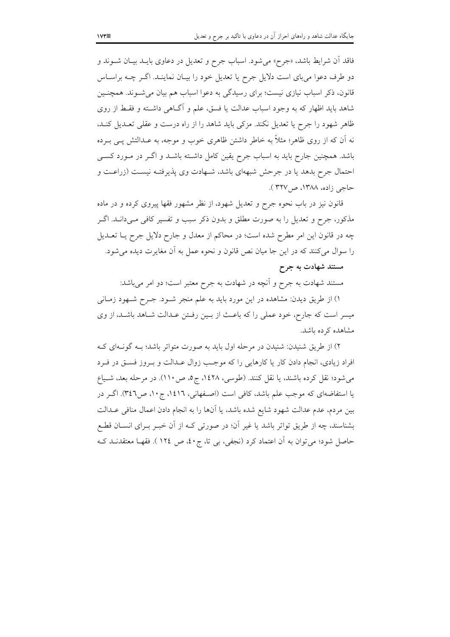فاقد اّن شرایط باشد، «جرح» میشود. اسباب جرح و تعدیل در دعاوی بایــد بیــان شــوند و دو طرف دعوا میبای است دلایل جرح یا تعدیل خود را بیـان نماینـد. اگــر چــه براســاس قانون، ذکر اسباب نیازی نیست؛ برای رسیدگی به دعوا اسباب هم بیان می شـوند. همچنـین شاهد باید اظهار که به وجود اسباب عدالت یا فسق، علم و آگـاهی داشـته و فقـط از روی ظاهر شهود را جرح یا تعدیل نکند. مزکی باید شاهد را از راه درست و عقلی تعـدیل کنـد، نه آن که از روی ظاهر؛ مثلاً به خاطر داشتن ظاهری خوب و موجه، به عــدالتش یــی بــرده باشد. همچنین جارح باید به اسباب جرح یقین کامل داشته باشـد و اگـر در مـورد کسـی احتمال جرح بدهد یا در جرحش شبههای باشد، شـهادت وی پذیرفتـه نیسـت (زراعـت و حاجي زاده، ١٣٨٨، ص٣٢٧ ).

قانون نیز در باب نحوه جرح و تعدیل شهود، از نظر مشهور فقها پیروی کرده و در ماده مذکور، جرح و تعدیل را به صورت مطلق و بدون ذکر سبب و تفسیر کافی مـیدانـد. اگــر چه در قانون این امر مطرح شده است؛ در محاکم از معدل و جارح دلایل جرح یـا تعــدیل را سوال میکنند که در این جا میان نص قانون و نحوه عمل به آن مغایرت دیده می شود. مستند شهادت به جرح

# مستند شهادت به جرح و آنچه در شهادت به جرح معتبر است؛ دو امر می باشد:

۱) از طریق دیدن: مشاهده در این مورد باید به علم منجر شـود. جـرح شـهود زمـانی میسر است که جارح، خود عملی را که باعث از بـین رفـتن عـدالت شـاهد باشـد، از وی مشاهده کرده باشد.

۲) از طریق شنیدن: شنیدن در مرحله اول باید به صورت متواتر باشد؛ بـه گونـهای کـه افراد زیادی، انجام دادن کار یا کارهایی را که موجب زوال عـدالت و بـروز فسـق در فـرد می شود؛ نقل کرده باشند، یا نقل کنند. (طوسی، ۱٤۲۸، ج٥، ص١١٠). در مرحله بعد، شـياع یا استفاضهای که موجب علم باشد، کافی است (اصفهانی، ١٤١٦، ج١٠، ص٣٤٦). اگـر در بين مردم، عدم عدالت شهود شايع شده باشد، يا آنها را به انجام دادن اعمال منافي عــدالت بشناسند، چه از طریق تواتر باشد یا غیر اَن؛ در صورتی کـه از اَن خبـر بـرای انســان قطـع حاصل شود؛ می توان به آن اعتماد کرد (نجفی، بی تا، ج ٤٠، ص ١٢٤ ). فقهـا معتقدنــد کــه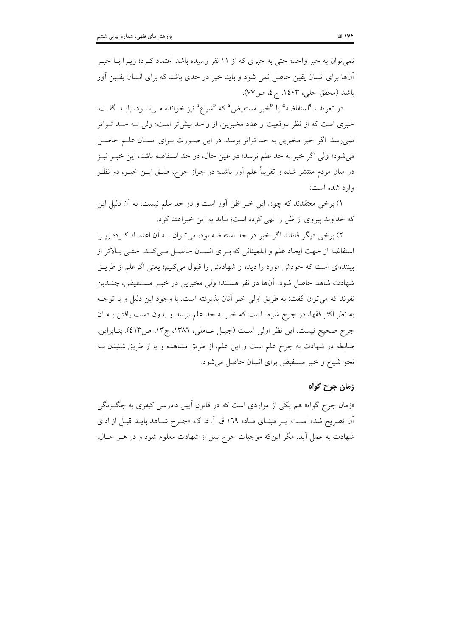نمی توان به خبر واحد؛ حتی به خبری که از ۱۱ نفر رسیده باشد اعتماد کـرد؛ زیـرا بــا خبــر آنها برای انسان یقین حاصل نمی شود و باید خبر در حدی باشد که برای انسان یقـین اَور باشد (محقق حلي، ١٤٠٣، ج٤، ص٧٧).

در تعريف "استفاضه" يا "خبر مستفيض" كه "شياع" نيز خوانده مـىشـود، بايــد گفــت: خبری است که از نظر موقعیت و عدد مخبرین، از واحد بیشتر است؛ ولی بـه حـد تـواتر نمی رسد. اگر خبر مخبرین به حد تواتر برسد، در این صـورت بـرای انسـان علـم حاصـل مي شود؛ ولي اگر خبر به حد علم نرسد؛ در عين حال، در حد استفاضه باشد، اين خبـر نيـز در میان مردم منتشر شده و تقریباً علم آور باشد؛ در جواز جرح، طبـق ایــن خبــر، دو نظــر وارد شده است:

۱) برخی معتقدند که چون این خبر ظن اَور است و در حد علم نیست، به اَن دلیل این که خداوند پیروی از ظن را نهی کرده است؛ نباید به این خبراعتنا کرد.

٢) برخي ديگر قائلند اگر خبر در حد استفاضه بود، مي تـوان بـه آن اعتمـاد كـرد؛ زيـرا استفاضه از جهت ایجاد علم و اطمینانی که بـرای انسـان حاصـل مـی کنـد، حتـی بـالاتر از بینندهای است که خودش مورد را دیده و شهادتش را قبول میکنیم؛ یعنی اگرعلم از طریـق شهادت شاهد حاصل شود، آنها دو نفر هستند؛ ولي مخبرين در خبـر مسـتفيض، چنـدين نفرند که می توان گفت: به طریق اولی خبر آنان پذیرفته است. با وجود این دلیل و با توجـه به نظر اکثر فقها، در جرح شرط است که خبر به حد علم برسد و بدون دست یافتن بــه اَن جرح صحيح نيست. اين نظر اولي است (جبـل عــاملي، ١٣٨٦، ج١٣، ص٤١٣). بنــابراين، ضابطه در شهادت به جرح علم است و این علم، از طریق مشاهده و یا از طریق شنیدن بـه نحو شیاع و خبر مستفیض برای انسان حاصل می شود.

### زمان جرح گواه

«زمان جرح گواه» هم یکی از مواردی است که در قانون آیین دادرسی کیفری به چگـونگی اّن تصریح شده است. بـر مبنـای مـاده ١٦٩ ق. اَ. د. ک: «جـرح شـاهد بایـد قبـل از ادای شهادت به عمل آید، مگر اینکه موجبات جرح پس از شهادت معلوم شود و در هـر حـال،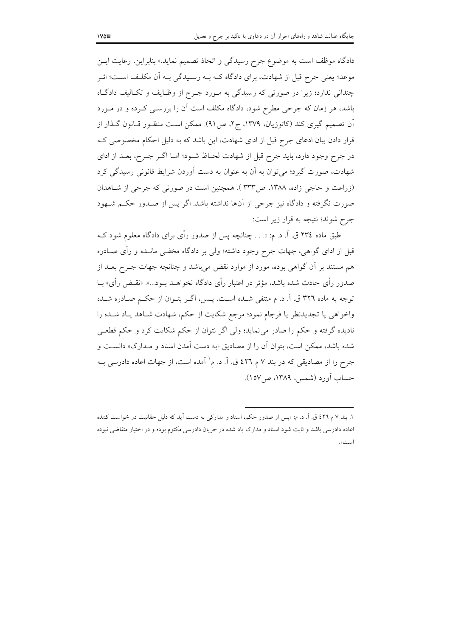دادگاه موظف است به موضوع جرح رسیدگی و اتخاذ تصمیم نماید.» بنابراین، رعایت ایس موعد؛ یعنی جرح قبل از شهادت، برای دادگاه کـه بــه رسـیدگی بــه آن مکلـف اســت؛ اثــر چندانی ندارد؛ زیرا در صورتی که رسیدگی به مـورد جـرح از وظـایف و تکـالیف دادگـاه باشد، هر زمان که جرحی مطرح شود، دادگاه مکلف است آن را بررسـی کـرده و در مـورد اّن تصمیم گیری کند (کاتوزیان، ۱۳۷۹، ج۲، ص۹۱). ممکن است منظـور قــانون گــذار از قرار دادن بیان ادعای جرح قبل از ادای شهادت، این باشد که به دلیل احکام مخصوصی ک در جرح وجود دارد، باید جرح قبل از شهادت لحـاظ شـود؛ امـا اگـر جـرح، بعـد از اداي شهادت، صورت گیرد؛ می توان به آن به عنوان به دست آوردن شرایط قانونی رسیدگی کرد (زراعت و حاجی زاده، ۱۳۸۸، ص۳۳۳ ). همچنین است در صورتی که جرحی از شـاهدان صورت نگرفته و دادگاه نیز جرحی از آنها نداشته باشد. اگر پس از صـدور حکـم شــهود جرح شوند؛ نتيجه به قرار زير است:

طبق ماده ٢٣٤ ق. آ. د. م: «. . . چنانچه پس از صدور رأى براى دادگاه معلوم شود كــه قبل از ادای گواهی، جهات جرح وجود داشته؛ ولی بر دادگاه مخفی مانـده و رأی صـادره هم مستند بر آن گواهی بوده، مورد از موارد نقض میباشد و چنانچه جهات جـرح بعــد از صدور رأى حادث شده باشد، مؤثر در اعتبار رأى دادگاه نخواهــد بــود...». «نقــض رأى» بــا توجه به ماده ٣٢٦ ق. اَ. د. م منتفى شـده اسـت. پـس، اگـر بتـوان از حكـم صـادره شـده واخواهي يا تجديدنظر يا فرجام نمود؛ مرجع شكايت از حكم، شهادت شـاهد يـاد شـده را نادیده گرفته و حکم را صادر می نماید؛ ولی اگر نتوان از حکم شکایت کرد و حکم قطعی شده باشد، ممکن است، بتوان آن را از مصادیق «به دست آمدن اسناد و مـدارک» دانسـت و جرح را از مصادیقی که در بند ۷ م ٤٢٦ ق. آ. د. م` آمده است، از جهات اعاده دادرسی بـه حساب آورد (شمس، ۱۳۸۹، ص۱۵۷).

۱. بند ۷ م ٤٢٦ ق. آ. د. م: «پس از صدور حکم، اسناد و مدارکی به دست آید که دلیل حقانیت در خواست کننده اعاده دادرسی باشد و ثابت شود اسناد و مدارک یاد شده در جریان دادرسی مکتوم بوده و در اختیار متقاضی نبوده است».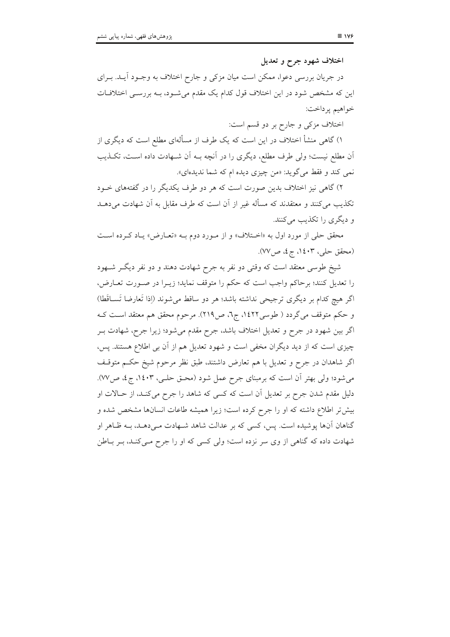اختلاف شهود جرح و تعديل

در جریان بررسی دعوا، ممکن است میان مزکی و جارح اختلاف به وجــود أیــد. بــرای این که مشخص شود در این اختلاف قول کدام یک مقدم میشــود، بــه بررســی اختلافــات خواهيم يرداخت:

اختلاف مزکی و جارح بر دو قسم است:

۱) گاهی منشأ اختلاف در این است که یک طرف از مسألهای مطلع است که دیگری از أن مطلع نیست؛ ولی طرف مطلع، دیگری را در اَنچه بـه اَن شـهادت داده اسـت، تکــذیب نمي كند و فقط مي گويد: «من چيزي ديده ام كه شما نديدهاي».

۲) گاهی نیز اختلاف بدین صورت است که هر دو طرف یکدیگر را در گفتههای خـود تکذیب می کنند و معتقدند که مسأله غیر از آن است که طرف مقابل به آن شهادت می دهــد و دیگری را تکذیب مرکنند.

محقق حلي از مورد اول به «اختلاف» و از مورد دوم بـه «تعـارض» يـاد كـرده اسـت (محقق حلي، ١٤٠٣، ج٤، ص٧٧).

شیخ طوسی معتقد است که وقتی دو نفر به جرح شهادت دهند و دو نفر دیگر شـهود را تعدیل کنند؛ برحاکم واجب است که حکم را متوقف نماید؛ زیــرا در صــورت تعــارض، اگر هیچ کدام بر دیگری ترجیحی نداشته باشد؛ هر دو ساقط می شوند (إذا تَعارضا تَســاقَطا) و حکم متوقف می گردد ( طوسی١٤٢٢، ج٦، ص٢١٩). مرحوم محقق هم معتقد است کـه اگر بین شهود در جرح و تعدیل اختلاف باشد، جرح مقدم میشود؛ زیرا جرح، شهادت بــر چیزی است که از دید دیگران مخفی است و شهود تعدیل هم از آن بی اطلاع هستند. پس، اگر شاهدان در جرح و تعدیل با هم تعارض داشتند، طبق نظر مرحوم شیخ حکـم متوقـف می شود؛ ولی بهتر آن است که برمبنای جرح عمل شود (محـق حلـی، ۱٤۰۳، ج٤، ص٧٧). دلیل مقدم شدن جرح بر تعدیل آن است که کسی که شاهد را جرح میکند، از حـالات او بیش تر اطلاع داشته که او را جرح کرده است؛ زیرا همیشه طاعات انسانها مشخص شده و گناهان آنها پوشیده است. پس، کسی که بر عدالت شاهد شـهادت مـیدهـد، بـه ظـاهر او شهادت داده که گناهی از وی سر نزده است؛ ولی کسی که او را جرح مـیکنـد، بـر بـاطن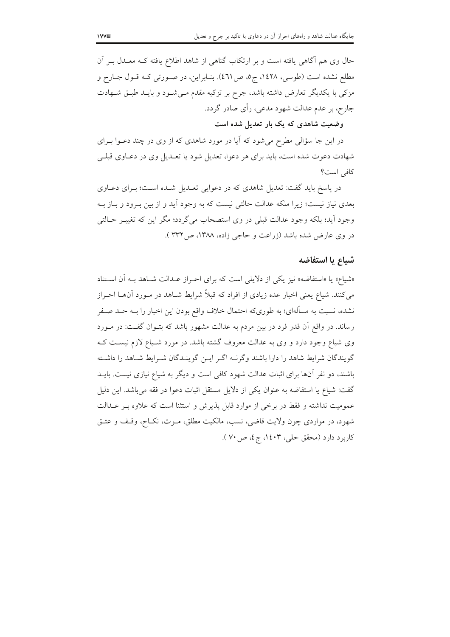حال وی هم آگاهی یافته است و بر ارتکاب گناهی از شاهد اطلاع یافته کـه معـدل بــر آن مطلع نشده است (طوسی، ۱٤۲۸، ج٥، ص٤٦١). بنـابراین، در صـورتی کـه قـول جـارح و مزکی با یکدیگر تعارض داشته باشد، جرح بر تزکیه مقدم مـیشـود و بایـد طبـق شـهادت جارح، بر عدم عدالت شهود مدعي، رأى صادر گردد.

وضعیت شاهدی که یک بار تعدیل شده است

در این جا سؤالی مطرح میشود که آیا در مورد شاهدی که از وی در چند دعـوا بـرای شهادت دعوت شده است، باید برای هر دعوا، تعدیل شود یا تعـدیل وی در دعـاوی قبلـی كافى است؟

در پاسخ باید گفت: تعدیل شاهدی که در دعوایی تعـدیل شـده اسـت؛ بـرای دعـاوی بعدی نیاز نیست؛ زیرا ملکه عدالت حالتی نیست که به وجود آید و از بین بـرود و بـاز بـه وجود آيد؛ بلكه وجود عدالت قبلي در وي استصحاب مي گردد؛ مگر اين كه تغييـر حــالتي در وی عارض شده باشد (زراعت و حاجی زاده، ۱۳۸۸، ص۳۳۲).

### شياع يا استفاضه

«شیاع» یا «استفاضه» نیز یکی از دلایلی است که برای احراز عـدالت شـاهد بـه آن اسـتناد می کنند. شیاع یعنی اخبار عده زیادی از افراد که قبلاً شرایط شــاهد در مــورد آنهــا احــراز نشده، نسبت به مسألهاي؛ به طوريكه احتمال خلاف واقع بودن اين اخبار را بــه حــد صــفر رساند. در واقع آن قدر فرد در بین مردم به عدالت مشهور باشد که بتـوان گفـت: در مـورد وی شیاع وجود دارد و وی به عدالت معروف گشته باشد. در مورد شـیاع لازم نیسـت کــه گویندگان شرایط شاهد را دارا باشند وگرنـه اگـر ایـن گوینـدگان شـرایط شـاهد را داشـته باشند، دو نفر آنها برای اثبات عدالت شهود کافی است و دیگر به شیاع نیازی نیست. بایــد گفت: شیاع یا استفاضه به عنوان یکی از دلایل مستقل اثبات دعوا در فقه می باشد. این دلیل عمومیت نداشته و فقط در برخی از موارد قابل پذیرش و استثنا است که علاوه بـر عــدالت شهود، در مواردي چون ولايت قاضي، نسب، مالكيت مطلق، مــوت، نكــاح، وقـف و عتــق کاربرد دارد (محقق حلی، ۱٤۰۳، ج٤، ص ۷۰).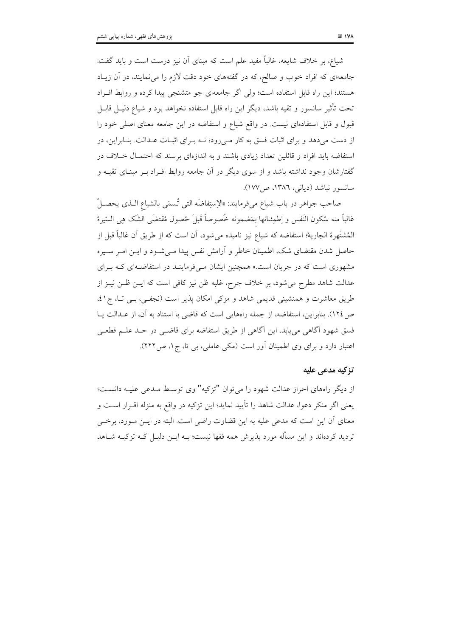شیاع، بر خلاف شایعه، غالباً مفید علم است که مبنای آن نیز درست است و باید گفت: جامعهای که افراد خوب و صالح، که در گفتههای خود دقت لازم را می نمایند، در آن زیباد هستند؛ این راه قابل استفاده است؛ ولی اگر جامعهای جو متشنجی پیدا کرده و روابط افـراد تحت تأثیر سانسور و تقیه باشد، دیگر این راه قابل استفاده نخواهد بود و شیاع دلیـل قابـل قبول و قابل استفادهای نیست. در واقع شیاع و استفاضه در این جامعه معنای اصلی خود را از دست میدهد و برای اثبات فسق به کار مـیرود؛ نــه بـرای اثبـات عــدالت. بنـابراین، در استفاضه باید افراد و قائلین تعداد زیادی باشند و به اندازهای برسند که احتمـال خـلاف در گفتارشان وجود نداشته باشد و از سوی دیگر در آن جامعه روابط افـراد بــر مبنــای تقیــه و سانسور نباشد (دیانی، ١٣٨٦، ص١٧٧).

صاحب جواهر در باب شياع ميفرمايند: «الإستِفاضَه التي تُسمّى بالشياع الـذي يحصـلُ غالباً منه سُكون النّفس و اِطمِئنانها بمَضمونه خُصوصاً قَبلَ حُصول مُقتضَى الشَك هِي السّيرهُ المُشتَهرة الجارية؛ استفاضه كه شياع نيز ناميده مي شود، أن است كه از طريق أن غالباً قبل از حاصل شدن مقتضای شک، اطمینان خاطر و آرامش نفس پیدا مـیشـود و ایــن امــر ســیره مشهوری است که در جریان است.» همچنین ایشان مـیفرماینـد در استفاضـهای کـه بـرای عدالت شاهد مطرح می شود، بر خلاف جرح، غلبه ظن نیز کافی است که ایــن ظــن نیــز از طریق معاشرت و همنشینی قدیمی شاهد و مزکی امکان پذیر است (نجفیی، بـی تـا، ج ٤١، ص١٢٤). بنابراين، استفاضه، از جمله راههايي است كه قاضي با استناد به آن، از عــدالت يــا فسق شهود آگاهی می یابد. این آگاهی از طریق استفاضه برای قاضــی در حــد علــم قطعــی اعتبار دارد و برای وی اطمینان آور است (مکی عاملی، بی تا، ج۱، ص۲۲۲).

#### تزكيه مدعى عليه

از دیگر راههای احراز عدالت شهود را می توان "تزکیه" وی توسط مـدعی علیـه دانسـت؛ يعني اگر منكر دعوا، عدالت شاهد را تأييد نمايد؛ اين تزكيه در واقع به منزله اقــرار اســت و معنای آن این است که مدعی علیه به این قضاوت راضی است. البته در ایــن مــورد، برخــی تردید کردهاند و این مسأله مورد یذیرش همه فقها نیست؛ بــه ایــن دلیــل کــه تزکیــه شــاهد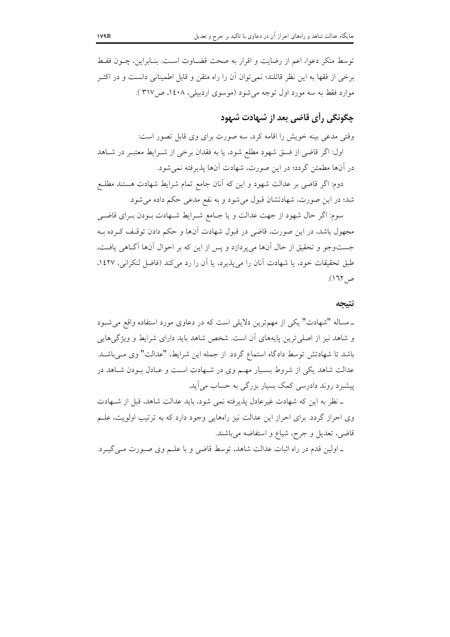توسط منكر دعوا، اعم از رضايت و اقرار به صحت قضــاوت اســت. بنــابراين، چــون فقــط برخی از فقها به این نظر قائلند؛ نمیتوان اّن را راه متقن و قابل اطمینانی دانست و در اکثــر موارد فقط به سه مورد اول توجه می شود (موسوی اردبیلی، ۱٤۰۸، ص١٢١٧).

# چگونگی رأی قاضی بعد از شهادت شهود

وقتی مدعی بینه خویش را اقامه کرد، سه صورت برای وی قابل تصور است:

اول: اگر قاضی از فسق شهود مطلع شود، یا به فقدان برخی از شـرایط معتبـر در شـاهد در آنها مطمئن گردد؛ در این صورت، شهادت آنها پذیرفته نمیشود.

دوم: اگر قاضی بر عدالت شهود و این که آنان جامع تمام شرایط شهادت هستند مطلـع شد؛ در این صورت، شهادتشان قبول میشود و به نفع مدعی حکم داده میشود.

سوم: اگر حال شهود از جهت عدالت و یا جـامع شـرایط شـهادت بـودن بـرای قاضـی مجهول باشد، در این صورت، قاضی در قبول شهادت آنها و حکم دادن توقـف کـرده بـه جستوجو و تحقیق از حال آنها میپردازد و پس از این که بر احوال آنها آگـاهی یافـت، طبق تحقیقات خود، یا شهادت آنان را می پذیرد، یا آن را رد می کند (فاضل لنکرانی، ۱٤۲۷، ص ١٦٢).

#### نتبجه

ـ مساله "شهادت" یکی از مهمترین دلایلی است که در دعاوی مورد استفاده واقع می شـود و شاهد نیز از اصلی ترین پایههای آن است. شخص شاهد باید دارای شرایط و ویژگیهایی باشد تا شهادتش توسط دادگاه استماع گردد. از جمله این شرایط، "عدالت" وی مـیباشـد. عدالت شاهد یکی از شروط بسـیار مهـم وی در شـهادت اسـت و عـادل بـودن شـاهد در پیشبرد روند دادرسی کمک بسیار بزرگی به حساب می آید.

ـ نظر به این که شهادت غیرعادل پذیرفته نمی شود، باید عدالت شاهد، قبل از شـهادت وی احراز گردد. برای احراز این عدالت نیز راههایی وجود دارد که به ترتیب اولویت، علـم قاضی، تعدیل و جرح، شیاع و استفاضه میباشند.

ـ اولین قدم در راه اثبات عدالت شاهد، توسط قاضی و با علـم وی صـورت مـی گیـرد.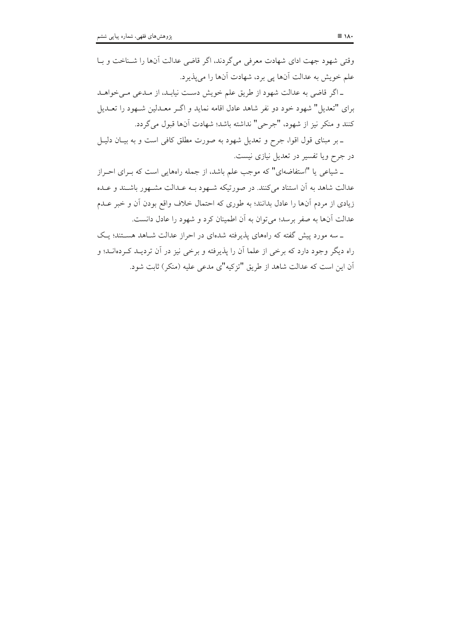وقتي شهود جهت اداي شهادت معرفي مي گردند، اگر قاضي عدالت آنها را شـناخت و بـا علم خویش به عدالت آنها پی برد، شهادت آنها را میپذیرد.

ـ اگر قاضی به عدالت شهود از طریق علم خویش دست نیابـد، از مـدعی مـی خواهـد برای "تعدیل" شهود خود دو نفر شاهد عادل اقامه نماید و اگـر معـدلین شـهود را تعـدیل كنند و منكر نيز از شهود، "جرحى" نداشته باشد؛ شهادت آنها قبول مى گردد.

ـ بر مبنای قول اقوا، جرِح و تعدیل شهود به صورت مطلق کافی است و به بیـان دلیـل در جرح ویا تفسیر در تعدیل نیازی نیست.

ـ شیاعی یا "استفاضهای" که موجب علم باشد، از جمله راههایی است که بـرای احـراز عدالت شاهد به أن استناد مى كنند. در صورتيكه شـهود بـه عــدالت مشـهور باشــند و عــده زیادی از مردم آنها را عادل بدانند؛ به طوری که احتمال خلاف واقع بودن آن و خبر عــدم عدالت آنها به صفر برسد؛ می توان به آن اطمینان کرد و شهود را عادل دانست.

ـ سه مورد پیش گفته که راههای پذیرفته شدهای در احراز عدالت شـاهد هسـتند؛ یـک راه دیگر وجود دارد که برخی از علما آن را پذیرفته و برخی نیز در آن تردیــد کــردهانــد؛ و آن این است که عدالت شاهد از طریق "تزکیه"ی مدعی علیه (منکر) ثابت شود.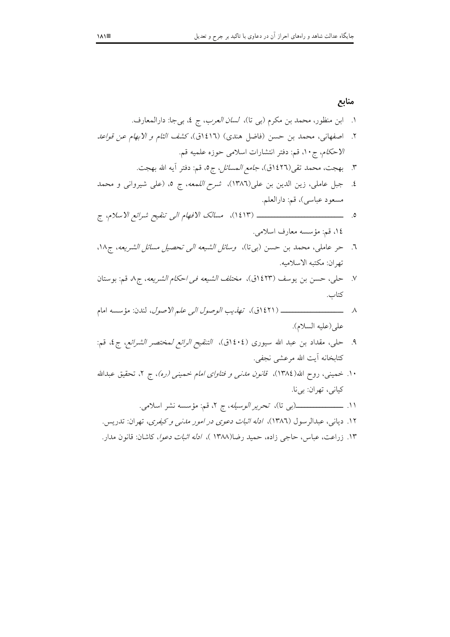۱۳. زراعت، عباس، حاجی زاده، حمید رضا(۱۳۸۸ )، *ادله اثبات دعوا*، کاشان: قانون مدار.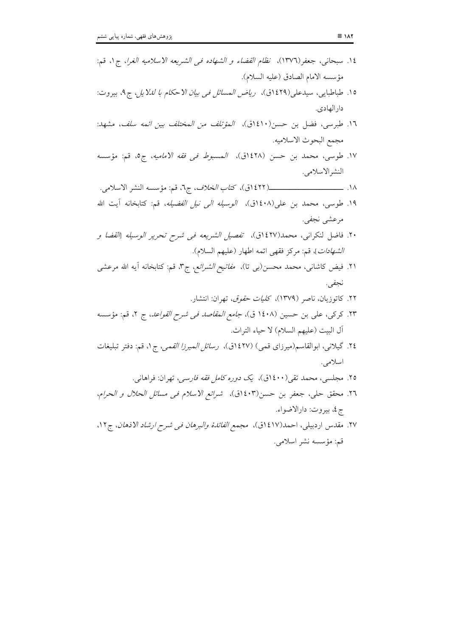| ١٤. سبحاني، جعفر(١٣٧٦)، نظ <i>ام القضاء و الشهاده في الشريعه الاسلاميه الغرا</i> ، ج١، قم:    |  |
|-----------------------------------------------------------------------------------------------|--|
| مؤسسه الامام الصادق (عليه السلام).                                                            |  |
| ١٥. طباطبايي، سيدعلى(١٤٢٩ق)، <i>رياض المسائل في بيان الاحكام با لللايل</i> ، ج٩، بيروت:       |  |
| دارالهادي.                                                                                    |  |
| ١٦. طبرسى، فضل بن حسن(١٤١٠ق)، <i>المؤتلف من المختلف بين ائمه سلف</i> ، مشهد:                  |  |
| مجمع البحوث الاسلاميه.                                                                        |  |
| ١٧. طوسي، محمد بن حسن (١٤٢٨ق)، المسب <i>وط في فقه الاماميه</i> ، ج٥، قم: مؤسسه                |  |
| النشرالاسلامي.                                                                                |  |
|                                                                                               |  |
| ۱۹. طوسی، محمد بن علی(۱٤۰۸ق)، <i>الوسیله الی نیل الفضیله</i> ، قم: کتابخانه آیت الله          |  |
| مرعشي نجفي.                                                                                   |  |
| ۲۰. فاضل لنكرانى، محمد(۱٤٢٧ق)، <i>تفصيل الشريعه فى شرح تحرير الوسيله [القضا و</i>             |  |
| ا <i>لشهادات</i> ]، قم: مركز فقهى ائمه اطهار (عليهم السلام).                                  |  |
| ۲۱. فیض کاشانی، محمد محسن(بی تا)، م <i>فاتیح الشرائع</i> ، ج۳، قم: کتابخانه آیه الله مرعشی    |  |
| نجفي.                                                                                         |  |
| ۲۲. کاتوزیان، ناصر (۱۳۷۹)، ک <i>لیات حقوق</i> ، تهران: انتشار.                                |  |
| ۲۳. کرکی، علی بن حسین (۱٤۰۸ ق)، <i>جامع المقاصد فی شرح القواعد</i> ، ج ۲، قم: مؤسسه           |  |
| آل البيت (عليهم السلام) لا حياء التراث.                                                       |  |
| ۲٤. گیلانی، ابوالقاسم(میرزای قمی) (۱٤۲۷ق)، ر <i>سائل المیرزا القمی</i> ، ج۱، قم: دفتر تبلیغات |  |
| اسلامي.                                                                                       |  |
| ۲۵. مجلسی، محمد تقی(۱٤۰۰ق)، ی <i>ک دوره کامل فقه فارسی</i> ، تهران: فراهانی.                  |  |
| ٢٦. محقق حلي، جعفر بن حسن(١٤٠٣ق)،  شرائع الاسلام فـي مسائل الحلال و الحرام،                   |  |
| ج٤، بيروت: دارالاضواء.                                                                        |  |
| ٢٧. مقدس اردبیلی، احمد(٤١٧ق)، م <i>جمع الفائدهٔ والبرهان فی شرح ارشاد الاذهان</i> ، ج١٢،      |  |
| قم: مؤسسه نشر اسلامي.                                                                         |  |